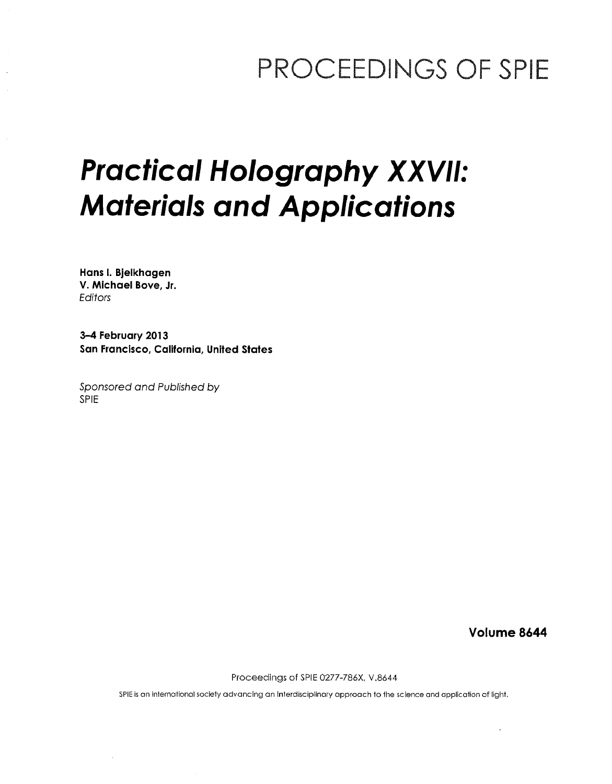## PROCEEDINGS OF SPIE

# Practical Holography XXVII: Materials and Applications

Hans I. Bjelkhagen V. Michael Bove, Jr. Editors

3-4 February 2013 San Francisco, California, United States

Sponsored and Published by SPIE

Volume 8644

Proceedings of SPIE 0277-786X, V.8644

SPIE is an international society advancing an Interdisciplinary approach to the science and application of light.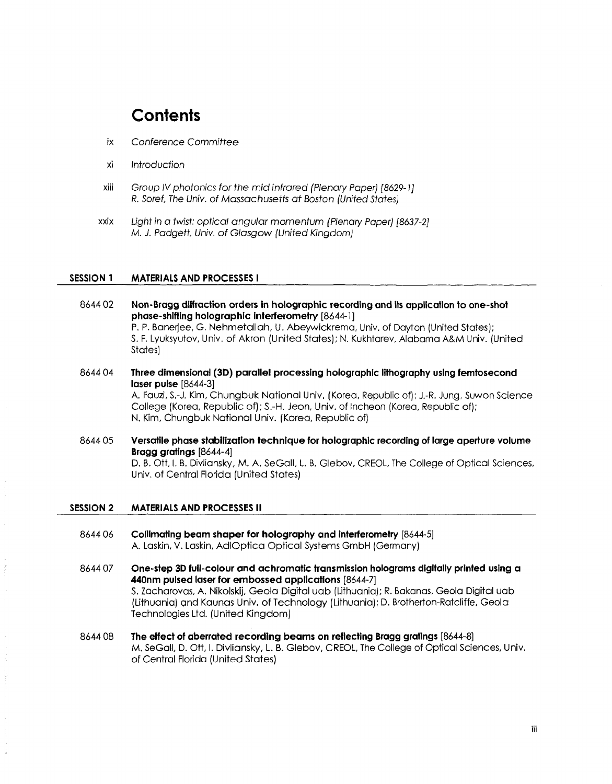### **Contents**

- ix Conference Committee
- xi Introduction
- xiii Group IV photonics for the mid infrared (Plenary Paper) [8629-1J R. Soref, The Univ. of Massachusetts at Boston (United States)
- xxix Light in <sup>a</sup> twist: optical angular momentum (Plenary Paper) [8637-2] M. J. Padgett, Univ. of Glasgow (United Kingdom)

#### SESSION <sup>1</sup> MATERIALS AND PROCESSES <sup>I</sup>

- 8644 02 Non-Bragg diffraction orders in holographic recording and its application to one-shot phase-shifting holographic interferometry [8644-1] P. P. Banerjee, G. Nehmetallah, U. Abeywickrema, Univ. of Dayton (United States); S. F. Lyuksyutov, Univ. of Akron (United States); N. Kukhtarev, Alabama A&M Univ. (United States)
- 8644 04 Three dimensional (3D) parallel processing holographic lithography using femtosecond laser pulse [8644-3] A. Fauzi, S.-J. Kim, Chungbuk National Univ. (Korea, Republic of); J.-R. Jung, Suwon Science College (Korea, Republic of); S.-H. Jeon, Univ. of Incheon (Korea, Republic of); N. Kim, Chungbuk National Univ. (Korea, Republic of)
- 8644 05 Versatile phase stabilization technique for holographic recording of large aperture volume Bragg gratings [8644-4] D. B. Ott, I. B. Divliansky, M. A. SeGall, L. B. Glebov, CREOL, The College of Optical Sciences, Univ. of Central Florida (United States)

#### SESSION <sup>2</sup> MATERIALS AND PROCESSES II

- 8644 06 Collimating beam shaper for holography and interferometry [8644-5] A. Laskin, V. Laskin, AdIOptica Optical Systems GmbH (Germany)
- 8644 <sup>07</sup> One-step 3D full-colour and achromatic transmission holograms digitally printed using a 440nm pulsed laser for embossed applications [8644-7] S. Zacharovas, A. Nikolskij, Geola Digital uab (Lithuania); R. Bakanas, Geola Digital uab (Lithuania) gnd Kaunas Univ. of Technology (Lithuania); D. Brotherton-Ratcliffe, Geola Technologies Ltd. (United Kingdom)
- 8644 <sup>08</sup> The effect of aberrated recording beams on reflecting Bragg gratings [8644-8] M. SeGall, D. Ott, I. Divliansky, L. B. Glebov, CREOL, The College of Optical Sciences, Univ. of Central Florida (United States)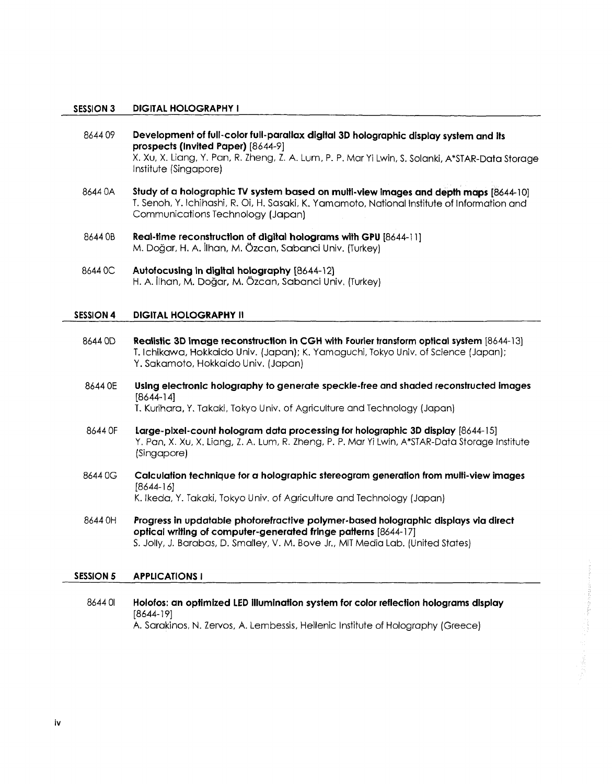#### SESSION <sup>3</sup> DIGITAL HOLOGRAPHY <sup>I</sup>

- 8644 09 Development of full-color full-parallax digital 3D holographic display system and its prospects (Invited Paper) [8644-9] X. Xu, X. Liang, Y. Pan, R. Zheng, Z. A. Lum, P. P. Mar Yi Lwin, S. Solanki, A\*STAR-Data Storage Institute (Singapore)
- 8644 0A Study of a holographic TV system based on multi-view images and depth maps [8644-10] T. Senoh, Y. Ichihashi, R. Oi, H. Sasaki, K. Yamamoto, National Institute of Information and Communications Technology (Japan)
- 8644 OB Real-time reconstruction of digital holograms with GPU [8644-11] M. Dogar, H. A. ilhan, M. Ozcan, Sabanci Univ. (Turkey)
- 8644 0C Autofocusing in digital holography [8644-12] H. A. ilhan, M. Dogar, M. Gzcan, Sabanci Univ. (Turkey)

#### SESSION 4 DIGITAL HOLOGRAPHY II

- 8644 0D Realistic 3D image reconstruction in CGH with Fourier transform optical system [8644-13] T. Ichikawa, Hokkaido Univ. (Japan); K. Yamaguchi, Tokyo Univ. of Science (Japan); Y. Sakamoto, Hokkaido Univ. (Japan)
- 8644 0E Using electronic holography to generate speckle-free and shaded reconstructed images [8644-14]

T. Kurihara, Y. Takaki, Tokyo Univ, of Agriculture and Technology (Japan)

- 8644 OF Large-pixel-count hologram data processing for holographic 3D display [8644-15] Y. Pan, X. Xu, X. Liang, Z. A. Lum, R. Zheng, P. P. Mar Yi Lwin, A\*STAR-Data Storage Institute (Singapore)
- <sup>8644</sup> 0G Calculation technique for a holographic stereogram generation from multi-view images [8644-16] K. Ikeda, Y. Takaki, Tokyo Univ. of Agriculture and Technology (Japan)
- 8644 OH Progress in updatable photorefractive polymer-based holographic displays via direct optical writing of computer-generated fringe patterns [8644-17] S. Jolly, J. Barabas, D. Smalley, V. M. Bove Jr., MIT Media Lab. (United States)

#### SESSION 5 APPLICATIONS I

8644 01 Holofos: an optimized LED illumination system for color reflection holograms display [8644-19] A. Sarakinos, N. Zervos, A. Lembessis, Hellenic Institute of Holography (Greece)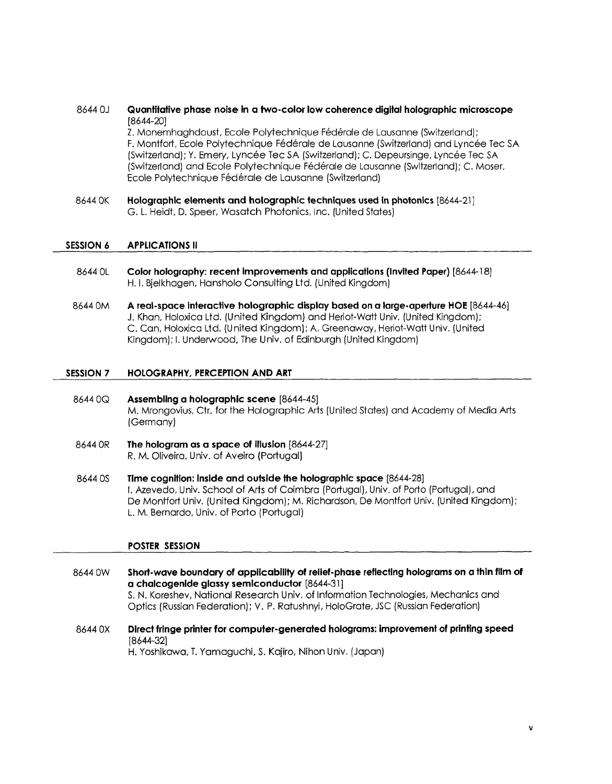#### 8644 OJ Quantitative phase noise in a two-color low coherence digital holographic microscope [8644-20]

Z. Monemhaghdoust, Ecole Polytechnique Federale de Lausanne (Switzerland); F. Montfort, Ecole Polytechnique Federale de Lausanne (Switzerland) and Lyncee Tec SA (Switzerland); Y. Emery, Lyncée Tec SA (Switzerland); C. Depeursinge, Lyncée Tec SA (Switzerland) and Ecole Polytechnique Federale de Lausanne (Switzerland); C. Moser, Ecole Polytechnique Fédérale de Lausanne (Switzerland)

8644 OK Holographic elements and holographic techniques used in photonics [8644-21 ] G. L. Heidt, D. Speer, Wasatch Photonics, Inc. (United States)

#### SESSION 6 APPLICATIONS II

- 8644 OL Color holography: recent improvements and applications (Invited Paper) [8644-18] H. I. Bjelkhagen, Hansholo Consulting Ltd. (United Kingdom)
- <sup>8644</sup> 0M A real-space interactive holographic display based on <sup>a</sup> large-aperture HOE [8644-46] J. Khan, Holoxica Ltd. (United Kingdom) and Heriot-Watt Univ. (United Kingdom); C. Can, Holoxica Ltd. (United Kingdom); A. Greenaway, Heriot-Watt Univ. (United Kingdom); I. Underwood, The Univ. of Edinburgh (United Kingdom)

#### SESSION 7 HOLOGRAPHY, PERCEPTION AND ART

- 8644 0Q Assembling a holographic scene [8644-45] M. Mrongovius, Ctr. for the Holographic Arts (United States) and Academy of Media Arts (Germany)
- 8644 OR The hologram as a space of illusion [8644-27] R, M. Oliveira, Univ. of Aveiro (Portugal)
- 8644 OS Time cognition: inside and outside the holographic space [8644-28] I. Azevedo, Univ. School of Arts of Coimbra (Portugal), Univ. of Porto (Portugal), and De Montfort Univ. (United Kingdom); M. Richardson, De Montfort Univ. (United Kingdom); L. M. Bernardo, Univ. of Porto (Portugal)

#### POSTER SESSION

- 8644 0W Short-wave boundary of applicability of relief-phase reflecting holograms on a thin film of a chalcogenide glassy semiconductor [8644-31] S. N. Koreshev, National Research Univ. of Information Technologies, Mechanics and Optics (Russian Federation); V. P. Ratushnyi, HoloGrate, JSC (Russian Federation)
- 8644 OX Direct fringe printer for computer-generated holograms: improvement of printing speed [8644-32]

H. Yoshikawa, T. Yamaguchi, S. Kajiro, Nihon Univ. (Japan)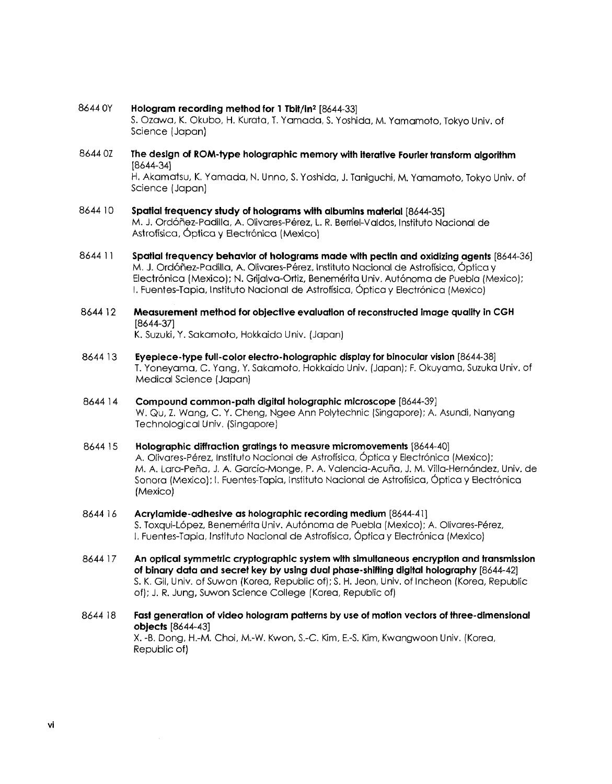#### 8644 OY Hologram recording method for <sup>1</sup> Tbit/in2 [8644-33]

S. Ozawa, K. Okubo, H. Kurata, T. Yamada, S. Yoshida, M. Yamamoto, Tokyo Univ. of Science (Japan)

8644 07 The design of ROM-type holographic memory with iterative Fourier transform algorithm [8644-34]

H. Akamatsu, K. Yamada, N. Unno, S. Yoshida, J. Taniguchi, M. Yamamoto, Tokyo Univ. of Science (Japan)

- 8644 <sup>10</sup> Spatial frequency study of holograms with albumins material [8644-35] M. J. Ordohez-Padilla, A. Olivares-Perez, L. R. Berriel-Valdos, Instituto Nacional de Astrofísica, Óptica y Electrónica (Mexico)
- 8644 <sup>11</sup> Spatial frequency behavior of holograms made with pectin and oxidizing agents [8644-36] M. J. Ordóñez-Padilla, A. Olivares-Pérez, Instituto Nacional de Astrofísica, Óptica y Electrónica (Mexico); N. Grijalva-Ortiz, Benemérita Univ. Autónoma de Puebla (Mexico); I. Fuentes-Tapia, Instituto Nacional de Astrofísica, Óptica y Electrónica (Mexico)
- 8644 <sup>12</sup> Measurement method for objective evaluation of reconstructed image quality in CGH [8644-37]

K. Suzuki, Y. Sakamoto, Hokkaido Univ. (Japan)

- 8644 13 Eyepiece-type full-color electro-holographic display for binocular vision [8644-38] T. Yoneyama, C. Yang, Y. Sakamoto, Hokkaido Univ. (Japan); F. Okuyama, Suzuka Univ. of Medical Science (Japan)
- 8644 14 Compound common-path digital holographic microscope [8644-39] W. Qu, Z. Wang, C. Y. Cheng, Ngee Ann Polytechnic (Singapore); A. Asundi, Nanyang Technological Univ. (Singapore)
- 8644 <sup>15</sup> Holographic diffraction gratings to measure micromovements [8644-40] A. Olivares-Perez, Instituto Nacional de Astrofisica, Optica <sup>y</sup> Electronica (Mexico); M. A. Lara-Peña, J. A. García-Monge, P. A. Valencia-Acuña, J. M. Villa-Hernández, Univ. de Sonora (Mexico); I. Fuentes-Tapia, Instituto Nacional de Astrofisica, 6ptica <sup>y</sup> Electronica (Mexico)
- 8644 <sup>16</sup> Acrylamide-adhesive as holographic recording medium [8644-41] S. Toxqui-López, Benemérita Univ. Autónoma de Puebla (Mexico); A. Olivares-Pérez, I. Fuentes-Tapia, Instituto Nacional de Astrofísica, Óptica y Electrónica (Mexico)
- 8644 <sup>17</sup> An optical symmetric cryptographic system with simultaneous encryption and transmission of binary data and secret key by using dual phase-shifting digital holography [8644-42] S. K. Gil, Univ. of Suwon (Korea, Republic of); S. H. Jeon, Univ. of Incheon (Korea, Republic of); J. R. Jung, Suwon Science College (Korea, Republic of)
- 8644 <sup>18</sup> Fast generation of video hologram patterns by use of motion vectors of three-dimensional objects [8644-43] X. -B. Dong, H.-M. Choi, M.-W. Kwon, S.-C. Kim, E.-S. Kim, Kwangwoon Univ. (Korea,

Republic of)